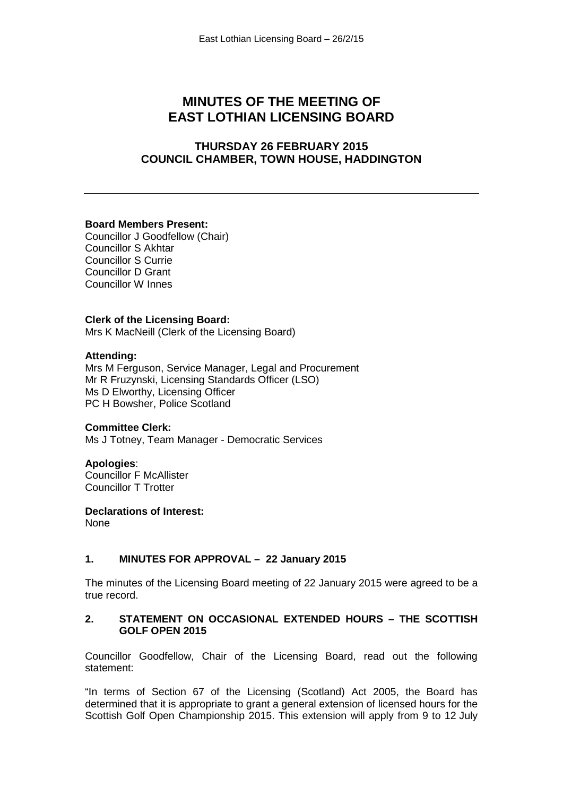# **MINUTES OF THE MEETING OF EAST LOTHIAN LICENSING BOARD**

# **THURSDAY 26 FEBRUARY 2015 COUNCIL CHAMBER, TOWN HOUSE, HADDINGTON**

### **Board Members Present:**

Councillor J Goodfellow (Chair) Councillor S Akhtar Councillor S Currie Councillor D Grant Councillor W Innes

### **Clerk of the Licensing Board:**

Mrs K MacNeill (Clerk of the Licensing Board)

### **Attending:**

Mrs M Ferguson, Service Manager, Legal and Procurement Mr R Fruzynski, Licensing Standards Officer (LSO) Ms D Elworthy, Licensing Officer PC H Bowsher, Police Scotland

### **Committee Clerk:**

Ms J Totney, Team Manager - Democratic Services

# **Apologies**:

Councillor F McAllister Councillor T Trotter

### **Declarations of Interest:**

None

# **1. MINUTES FOR APPROVAL – 22 January 2015**

The minutes of the Licensing Board meeting of 22 January 2015 were agreed to be a true record.

### **2. STATEMENT ON OCCASIONAL EXTENDED HOURS – THE SCOTTISH GOLF OPEN 2015**

Councillor Goodfellow, Chair of the Licensing Board, read out the following statement:

"In terms of Section 67 of the Licensing (Scotland) Act 2005, the Board has determined that it is appropriate to grant a general extension of licensed hours for the Scottish Golf Open Championship 2015. This extension will apply from 9 to 12 July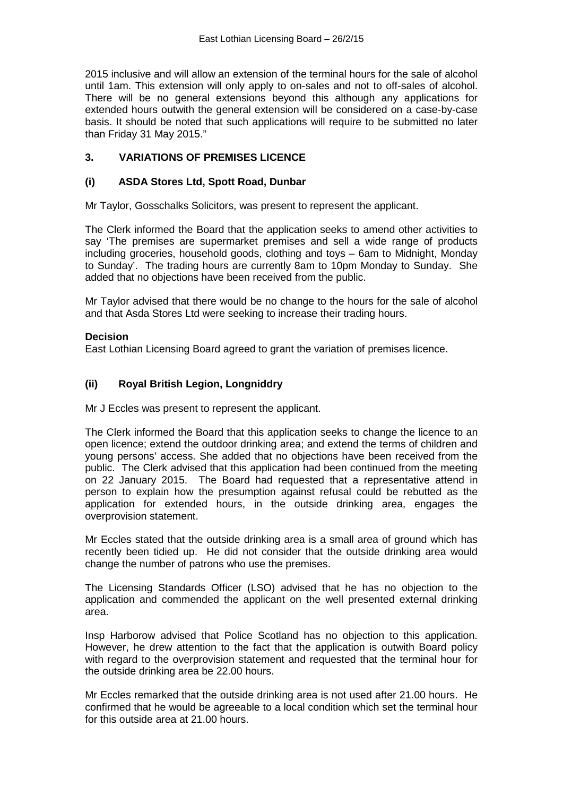2015 inclusive and will allow an extension of the terminal hours for the sale of alcohol until 1am. This extension will only apply to on-sales and not to off-sales of alcohol. There will be no general extensions beyond this although any applications for extended hours outwith the general extension will be considered on a case-by-case basis. It should be noted that such applications will require to be submitted no later than Friday 31 May 2015."

# **3. VARIATIONS OF PREMISES LICENCE**

# **(i) ASDA Stores Ltd, Spott Road, Dunbar**

Mr Taylor, Gosschalks Solicitors, was present to represent the applicant.

The Clerk informed the Board that the application seeks to amend other activities to say 'The premises are supermarket premises and sell a wide range of products including groceries, household goods, clothing and toys – 6am to Midnight, Monday to Sunday'. The trading hours are currently 8am to 10pm Monday to Sunday. She added that no objections have been received from the public.

Mr Taylor advised that there would be no change to the hours for the sale of alcohol and that Asda Stores Ltd were seeking to increase their trading hours.

### **Decision**

East Lothian Licensing Board agreed to grant the variation of premises licence.

# **(ii) Royal British Legion, Longniddry**

Mr J Eccles was present to represent the applicant.

The Clerk informed the Board that this application seeks to change the licence to an open licence; extend the outdoor drinking area; and extend the terms of children and young persons' access. She added that no objections have been received from the public. The Clerk advised that this application had been continued from the meeting on 22 January 2015. The Board had requested that a representative attend in person to explain how the presumption against refusal could be rebutted as the application for extended hours, in the outside drinking area, engages the overprovision statement.

Mr Eccles stated that the outside drinking area is a small area of ground which has recently been tidied up. He did not consider that the outside drinking area would change the number of patrons who use the premises.

The Licensing Standards Officer (LSO) advised that he has no objection to the application and commended the applicant on the well presented external drinking area.

Insp Harborow advised that Police Scotland has no objection to this application. However, he drew attention to the fact that the application is outwith Board policy with regard to the overprovision statement and requested that the terminal hour for the outside drinking area be 22.00 hours.

Mr Eccles remarked that the outside drinking area is not used after 21.00 hours. He confirmed that he would be agreeable to a local condition which set the terminal hour for this outside area at 21.00 hours.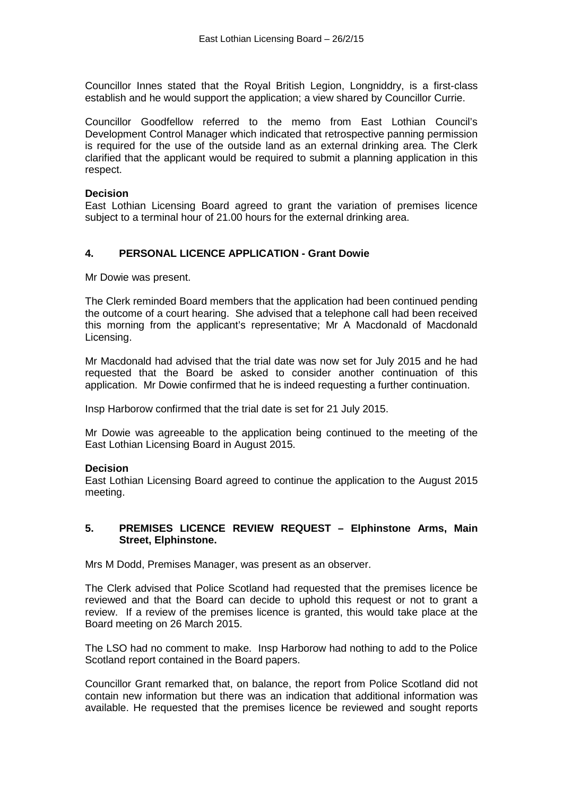Councillor Innes stated that the Royal British Legion, Longniddry, is a first-class establish and he would support the application; a view shared by Councillor Currie.

Councillor Goodfellow referred to the memo from East Lothian Council's Development Control Manager which indicated that retrospective panning permission is required for the use of the outside land as an external drinking area. The Clerk clarified that the applicant would be required to submit a planning application in this respect.

### **Decision**

East Lothian Licensing Board agreed to grant the variation of premises licence subject to a terminal hour of 21.00 hours for the external drinking area.

# **4. PERSONAL LICENCE APPLICATION - Grant Dowie**

Mr Dowie was present.

The Clerk reminded Board members that the application had been continued pending the outcome of a court hearing. She advised that a telephone call had been received this morning from the applicant's representative; Mr A Macdonald of Macdonald Licensing.

Mr Macdonald had advised that the trial date was now set for July 2015 and he had requested that the Board be asked to consider another continuation of this application. Mr Dowie confirmed that he is indeed requesting a further continuation.

Insp Harborow confirmed that the trial date is set for 21 July 2015.

Mr Dowie was agreeable to the application being continued to the meeting of the East Lothian Licensing Board in August 2015.

### **Decision**

East Lothian Licensing Board agreed to continue the application to the August 2015 meeting.

### **5. PREMISES LICENCE REVIEW REQUEST – Elphinstone Arms, Main Street, Elphinstone.**

Mrs M Dodd, Premises Manager, was present as an observer.

The Clerk advised that Police Scotland had requested that the premises licence be reviewed and that the Board can decide to uphold this request or not to grant a review. If a review of the premises licence is granted, this would take place at the Board meeting on 26 March 2015.

The LSO had no comment to make. Insp Harborow had nothing to add to the Police Scotland report contained in the Board papers.

Councillor Grant remarked that, on balance, the report from Police Scotland did not contain new information but there was an indication that additional information was available. He requested that the premises licence be reviewed and sought reports